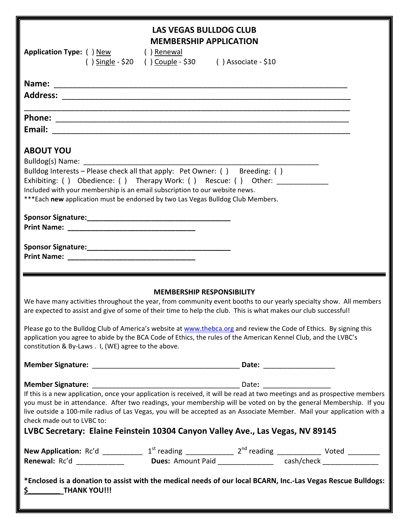| Application Type: () New () Renewal                                                                                                                                                                                                                                                            | <b>LAS VEGAS BULLDOG CLUB</b><br><b>MEMBERSHIP APPLICATION</b><br>() $\frac{Single - $20}{[}$ () $\frac{Couple - $30}{[}$ () Associate - \$10 |  |  |
|------------------------------------------------------------------------------------------------------------------------------------------------------------------------------------------------------------------------------------------------------------------------------------------------|-----------------------------------------------------------------------------------------------------------------------------------------------|--|--|
|                                                                                                                                                                                                                                                                                                |                                                                                                                                               |  |  |
|                                                                                                                                                                                                                                                                                                |                                                                                                                                               |  |  |
|                                                                                                                                                                                                                                                                                                |                                                                                                                                               |  |  |
|                                                                                                                                                                                                                                                                                                |                                                                                                                                               |  |  |
|                                                                                                                                                                                                                                                                                                |                                                                                                                                               |  |  |
|                                                                                                                                                                                                                                                                                                |                                                                                                                                               |  |  |
| <b>ABOUT YOU</b>                                                                                                                                                                                                                                                                               |                                                                                                                                               |  |  |
|                                                                                                                                                                                                                                                                                                |                                                                                                                                               |  |  |
| Bulldog Interests - Please check all that apply: Pet Owner: () Breeding: ()                                                                                                                                                                                                                    |                                                                                                                                               |  |  |
| Exhibiting: () Obedience: () Therapy Work: () Rescue: () Other: _____________                                                                                                                                                                                                                  |                                                                                                                                               |  |  |
| Included with your membership is an email subscription to our website news.                                                                                                                                                                                                                    |                                                                                                                                               |  |  |
| ***Each new application must be endorsed by two Las Vegas Bulldog Club Members.                                                                                                                                                                                                                |                                                                                                                                               |  |  |
|                                                                                                                                                                                                                                                                                                |                                                                                                                                               |  |  |
|                                                                                                                                                                                                                                                                                                |                                                                                                                                               |  |  |
|                                                                                                                                                                                                                                                                                                |                                                                                                                                               |  |  |
|                                                                                                                                                                                                                                                                                                |                                                                                                                                               |  |  |
|                                                                                                                                                                                                                                                                                                |                                                                                                                                               |  |  |
|                                                                                                                                                                                                                                                                                                |                                                                                                                                               |  |  |
|                                                                                                                                                                                                                                                                                                |                                                                                                                                               |  |  |
| <b>MEMBERSHIP RESPONSIBILITY</b><br>We have many activities throughout the year, from community event booths to our yearly specialty show. All members<br>are expected to assist and give of some of their time to help the club. This is what makes our club successful!                      |                                                                                                                                               |  |  |
| Please go to the Bulldog Club of America's website at www.thebca.org and review the Code of Ethics. By signing this<br>application you agree to abide by the BCA Code of Ethics, the rules of the American Kennel Club, and the LVBC's<br>constitution & By-Laws . I, (WE) agree to the above. |                                                                                                                                               |  |  |
|                                                                                                                                                                                                                                                                                                |                                                                                                                                               |  |  |
|                                                                                                                                                                                                                                                                                                |                                                                                                                                               |  |  |
| If this is a new application, once your application is received, it will be read at two meetings and as prospective members                                                                                                                                                                    |                                                                                                                                               |  |  |
| you must be in attendance. After two readings, your membership will be voted on by the general Membership. If you                                                                                                                                                                              |                                                                                                                                               |  |  |
| live outside a 100-mile radius of Las Vegas, you will be accepted as an Associate Member. Mail your application with a                                                                                                                                                                         |                                                                                                                                               |  |  |
| check made out to LVBC to:                                                                                                                                                                                                                                                                     |                                                                                                                                               |  |  |
| LVBC Secretary: Elaine Feinstein 10304 Canyon Valley Ave., Las Vegas, NV 89145                                                                                                                                                                                                                 |                                                                                                                                               |  |  |
|                                                                                                                                                                                                                                                                                                |                                                                                                                                               |  |  |
|                                                                                                                                                                                                                                                                                                |                                                                                                                                               |  |  |
|                                                                                                                                                                                                                                                                                                |                                                                                                                                               |  |  |
|                                                                                                                                                                                                                                                                                                |                                                                                                                                               |  |  |
| *Enclosed is a donation to assist with the medical needs of our local BCARN, Inc.-Las Vegas Rescue Bulldogs:                                                                                                                                                                                   |                                                                                                                                               |  |  |
| <b>THANK YOU!!!</b><br><u>\$</u>                                                                                                                                                                                                                                                               |                                                                                                                                               |  |  |